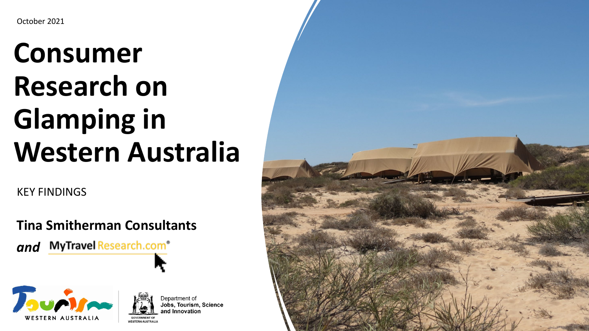# **Consumer Research on Glamping in Western Australia**

KEY FINDINGS

**Tina Smitherman Consultants** 







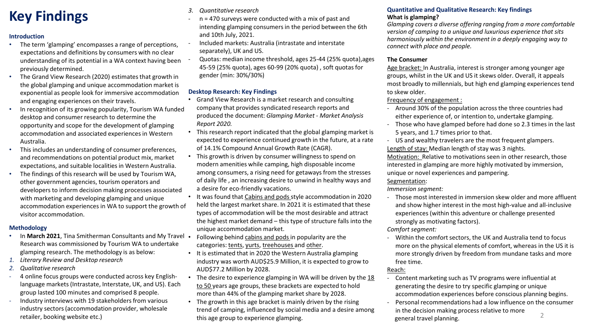## **Key Findings**

#### **Introduction**

- The term 'glamping' encompasses a range of perceptions, expectations and definitions by consumers with no clear understanding of its potential in a WA context having been previously determined.
- The Grand View Research (2020) estimates that growth in the global glamping and unique accommodation market is exponential as people look for immersive accommodation and engaging experiences on their travels.
- In recognition of its growing popularity, Tourism WA funded desktop and consumer research to determine the opportunity and scope for the development of glamping accommodation and associated experiences in Western Australia.
- This includes an understanding of consumer preferences, and recommendations on potential product mix, market expectations, and suitable localities in Western Australia.
- The findings of this research will be used by Tourism WA, other government agencies, tourism operators and developers to inform decision making processes associated with marketing and developing glamping and unique accommodation experiences in WA to support the growth of visitor accommodation.

#### **Methodology**

- In **March 2021**, Tina Smitherman Consultants and My Travel Research was commissioned by Tourism WA to undertake glamping research. The methodology is as below:
- *1. Literary Review and Desktop research*
- *2. Qualitative research*
- 4 online focus groups were conducted across key Englishlanguage markets (Intrastate, Interstate, UK, and US). Each group lasted 100 minutes and comprised 8 people.
- Industry interviews with 19 stakeholders from various industry sectors (accommodation provider, wholesale retailer, booking website etc.)
- *3. Quantitative research*
- $n = 470$  surveys were conducted with a mix of past and intending glamping consumers in the period between the 6th and 10th July, 2021.
- Included markets: Australia (intrastate and interstate separately), UK and US.
- Quotas: median income threshold, ages 25-44 (25% quota),ages 45-59 (25% quota), ages 60-99 (20% quota) , soft quotas for gender (min: 30%/30%)

#### **Desktop Research: Key Findings**

- Grand View Research is a market research and consulting company that provides syndicated research reports and produced the document: *Glamping Market - Market Analysis Report 2020.*
- This research report indicated that the global glamping market is expected to experience continued growth in the future, at a rate of 14.1% Compound Annual Growth Rate (CAGR).
- This growth is driven by consumer willingness to spend on modern amenities while camping, high disposable income among consumers, a rising need for getaways from the stresses of daily life , an increasing desire to unwind in healthy ways and a desire for eco-friendly vacations.
- It was found that Cabins and pods style accommodation in 2020 held the largest market share. In 2021 it is estimated that these types of accommodation will be the most desirable and attract the highest market demand – this type of structure falls into the unique accommodation market.
- Following behind cabins and pods in popularity are the categories: tents, yurts, treehouses and other.
- It is estimated that in 2020 the Western Australia glamping industry was worth AUD\$25.9 Million, it is expected to grow to AUD\$77.2 Million by 2028.
- The desire to experience glamping in WA will be driven by the 18 to 50 years age groups, these brackets are expected to hold more than 44% of the glamping market share by 2028.
- The growth in this age bracket is mainly driven by the rising trend of camping, influenced by social media and a desire among this age group to experience glamping.

#### **Quantitative and Qualitative Research: Key findings What is glamping?**

*Glamping covers a diverse offering ranging from a more comfortable version of camping to a unique and luxurious experience that sits harmoniously within the environment in a deeply engaging way to connect with place and people.* 

#### **The Consumer**

Age bracket: In Australia, interest is stronger among younger age groups, whilst in the UK and US it skews older. Overall, it appeals most broadly to millennials, but high end glamping experiences tend to skew older.

#### Frequency of engagement :

- Around 30% of the population across the three countries had either experience of, or intention to, undertake glamping.
- Those who have glamped before had done so 2.3 times in the last 5 years, and 1.7 times prior to that.
- US and wealthy travelers are the most frequent glampers. Length of stay: Median length of stay was 3 nights. Motivation: Relative to motivations seen in other research, those interested in glamping are more highly motivated by immersion, unique or novel experiences and pampering.

#### Segmentation:

*Immersion segment:*

- Those most interested in immersion skew older and more affluent and show higher interest in the most high-value and all-inclusive experiences (within this adventure or challenge presented strongly as motivating factors).

#### *Comfort segment:*

- Within the comfort sectors, the UK and Australia tend to focus more on the physical elements of comfort, whereas in the US it is more strongly driven by freedom from mundane tasks and more free time.

#### Reach:

- Content marketing such as TV programs were influential at generating the desire to try specific glamping or unique accommodation experiences before conscious planning begins.
- Personal recommendations had a low influence on the consumer in the decision making process relative to more general travel planning.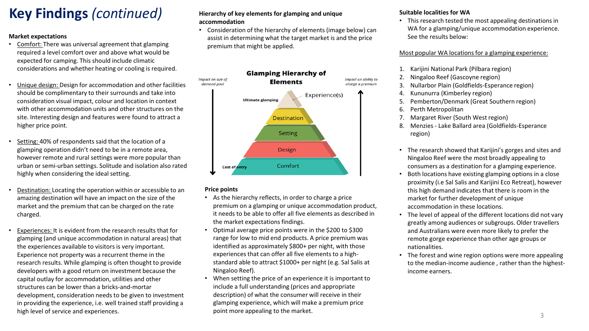# **Key Findings** *(continued)*

#### **Market expectations**

- Comfort: There was universal agreement that glamping required a level comfort over and above what would be expected for camping. This should include climatic considerations and whether heating or cooling is required.
- Unique design: Design for accommodation and other facilities should be complimentary to their surrounds and take into consideration visual impact, colour and location in context with other accommodation units and other structures on the site. Interesting design and features were found to attract a higher price point.
- Setting: 40% of respondents said that the location of a glamping operation didn't need to be in a remote area, however remote and rural settings were more popular than urban or semi-urban settings. Solitude and isolation also rated highly when considering the ideal setting.
- Destination: Locating the operation within or accessible to an amazing destination will have an impact on the size of the market and the premium that can be charged on the rate charged.
- Experiences: It is evident from the research results that for glamping (and unique accommodation in natural areas) that the experiences available to visitors is very important. Experience not property was a recurrent theme in the research results. While glamping is often thought to provide developers with a good return on investment because the capital outlay for accommodation, utilities and other structures can be lower than a bricks-and-mortar development, consideration needs to be given to investment in providing the experience, i.e. well trained staff providing a high level of service and experiences.

#### **Hierarchy of key elements for glamping and unique accommodation**

• Consideration of the hierarchy of elements (image below) can assist in determining what the target market is and the price premium that might be applied.



#### **Price points**

- As the hierarchy reflects, in order to charge a price premium on a glamping or unique accommodation product, it needs to be able to offer all five elements as described in the market expectations findings.
- Optimal average price points were in the \$200 to \$300 range for low to mid end products. A price premium was identified as approximately \$800+ per night, with those experiences that can offer all five elements to a highstandard able to attract \$1000+ per night (e.g. Sal Salis at Ningaloo Reef).
- When setting the price of an experience it is important to include a full understanding (prices and appropriate description) of what the consumer will receive in their glamping experience, which will make a premium price point more appealing to the market.

#### **Suitable localities for WA**

• This research tested the most appealing destinations in WA for a glamping/unique accommodation experience. See the results below:

#### Most popular WA locations for a glamping experience:

- 1. Karijini National Park (Pilbara region)
- 2. Ningaloo Reef (Gascoyne region)
- 3. Nullarbor Plain (Goldfields-Esperance region)
- 4. Kununurra (Kimberley region)
- 5. Pemberton/Denmark (Great Southern region)
- 6. Perth Metropolitan
- 7. Margaret River (South West region)
- 8. Menzies Lake Ballard area (Goldfields-Esperance region)
- The research showed that Karijini's gorges and sites and Ningaloo Reef were the most broadly appealing to consumers as a destination for a glamping experience.
- Both locations have existing glamping options in a close proximity (i.e Sal Salis and Karijini Eco Retreat), however this high demand indicates that there is room in the market for further development of unique accommodation in these locations.
- The level of appeal of the different locations did not vary greatly among audiences or subgroups. Older travellers and Australians were even more likely to prefer the remote gorge experience than other age groups or nationalities.
- The forest and wine region options were more appealing to the median-income audience , rather than the highestincome earners.